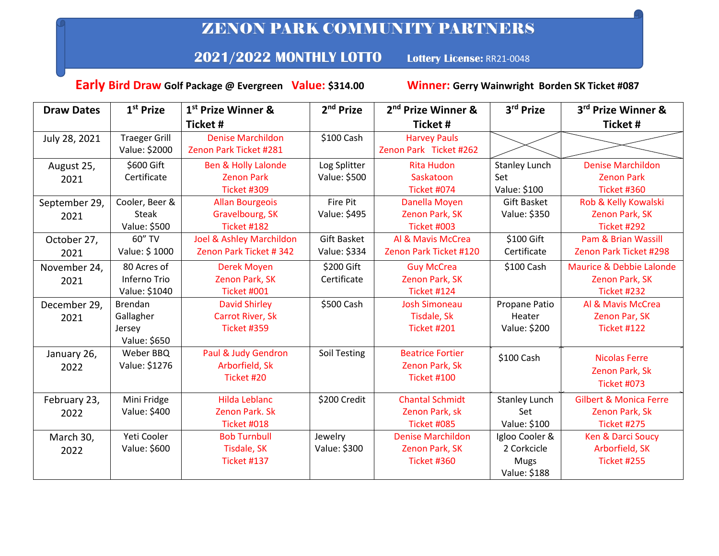## ZENON PARK COMMUNITY PARTNERS

## **2021/2022 MONTHLY LOTTO Lottery License:** RR21-0048

 **Early Bird Draw Golf Package @ Evergreen Value: \$314.00 Winner: Gerry Wainwright Borden SK Ticket #087**

| <b>Draw Dates</b> | 1 <sup>st</sup> Prize | 1 <sup>st</sup> Prize Winner & | 2 <sup>nd</sup> Prize | 2 <sup>nd</sup> Prize Winner & | 3rd Prize            | 3rd Prize Winner &                |
|-------------------|-----------------------|--------------------------------|-----------------------|--------------------------------|----------------------|-----------------------------------|
|                   |                       | <b>Ticket#</b>                 |                       | <b>Ticket#</b>                 |                      | <b>Ticket#</b>                    |
| July 28, 2021     | <b>Traeger Grill</b>  | <b>Denise Marchildon</b>       | \$100 Cash            | <b>Harvey Pauls</b>            |                      |                                   |
|                   | Value: \$2000         | Zenon Park Ticket #281         |                       | Zenon Park Ticket #262         |                      |                                   |
| August 25,        | \$600 Gift            | <b>Ben &amp; Holly Lalonde</b> | Log Splitter          | <b>Rita Hudon</b>              | <b>Stanley Lunch</b> | <b>Denise Marchildon</b>          |
| 2021              | Certificate           | <b>Zenon Park</b>              | Value: \$500          | Saskatoon                      | Set                  | <b>Zenon Park</b>                 |
|                   |                       | Ticket #309                    |                       | Ticket #074                    | Value: \$100         | Ticket #360                       |
| September 29,     | Cooler, Beer &        | <b>Allan Bourgeois</b>         | <b>Fire Pit</b>       | Danella Moyen                  | <b>Gift Basket</b>   | Rob & Kelly Kowalski              |
| 2021              | <b>Steak</b>          | Gravelbourg, SK                | Value: \$495          | Zenon Park, SK                 | Value: \$350         | Zenon Park, SK                    |
|                   | Value: \$500          | Ticket #182                    |                       | Ticket #003                    |                      | Ticket #292                       |
| October 27,       | 60" TV                | Joel & Ashley Marchildon       | <b>Gift Basket</b>    | Al & Mavis McCrea              | \$100 Gift           | <b>Pam &amp; Brian Wassill</b>    |
| 2021              | Value: \$1000         | Zenon Park Ticket # 342        | Value: \$334          | Zenon Park Ticket #120         | Certificate          | Zenon Park Ticket #298            |
| November 24,      | 80 Acres of           | <b>Derek Moyen</b>             | \$200 Gift            | <b>Guy McCrea</b>              | \$100 Cash           | Maurice & Debbie Lalonde          |
| 2021              | Inferno Trio          | Zenon Park, SK                 | Certificate           | Zenon Park, SK                 |                      | Zenon Park, SK                    |
|                   | Value: \$1040         | Ticket #001                    |                       | Ticket #124                    |                      | Ticket #232                       |
| December 29,      | <b>Brendan</b>        | <b>David Shirley</b>           | \$500 Cash            | <b>Josh Simoneau</b>           | Propane Patio        | Al & Mavis McCrea                 |
| 2021              | Gallagher             | <b>Carrot River, Sk</b>        |                       | Tisdale, Sk                    | Heater               | Zenon Par, SK                     |
|                   | Jersey                | <b>Ticket #359</b>             |                       | Ticket #201                    | Value: \$200         | <b>Ticket #122</b>                |
|                   | Value: \$650          |                                |                       |                                |                      |                                   |
| January 26,       | Weber BBQ             | Paul & Judy Gendron            | <b>Soil Testing</b>   | <b>Beatrice Fortier</b>        | \$100 Cash           | <b>Nicolas Ferre</b>              |
| 2022              | Value: \$1276         | Arborfield, Sk                 |                       | Zenon Park, Sk                 |                      | Zenon Park, Sk                    |
|                   |                       | Ticket #20                     |                       | <b>Ticket #100</b>             |                      |                                   |
|                   |                       |                                |                       |                                |                      | <b>Ticket #073</b>                |
| February 23,      | Mini Fridge           | <b>Hilda Leblanc</b>           | \$200 Credit          | <b>Chantal Schmidt</b>         | <b>Stanley Lunch</b> | <b>Gilbert &amp; Monica Ferre</b> |
| 2022              | Value: \$400          | Zenon Park. Sk                 |                       | Zenon Park, sk                 | Set                  | Zenon Park, Sk                    |
|                   |                       | <b>Ticket #018</b>             |                       | Ticket #085                    | Value: \$100         | <b>Ticket #275</b>                |
| March 30,         | Yeti Cooler           | <b>Bob Turnbull</b>            | Jewelry               | <b>Denise Marchildon</b>       | Igloo Cooler &       | <b>Ken &amp; Darci Soucy</b>      |
| 2022              | Value: \$600          | <b>Tisdale, SK</b>             | Value: \$300          | Zenon Park, SK                 | 2 Corkcicle          | Arborfield, SK                    |
|                   |                       | <b>Ticket #137</b>             |                       | Ticket #360                    | <b>Mugs</b>          | <b>Ticket #255</b>                |
|                   |                       |                                |                       |                                | Value: \$188         |                                   |